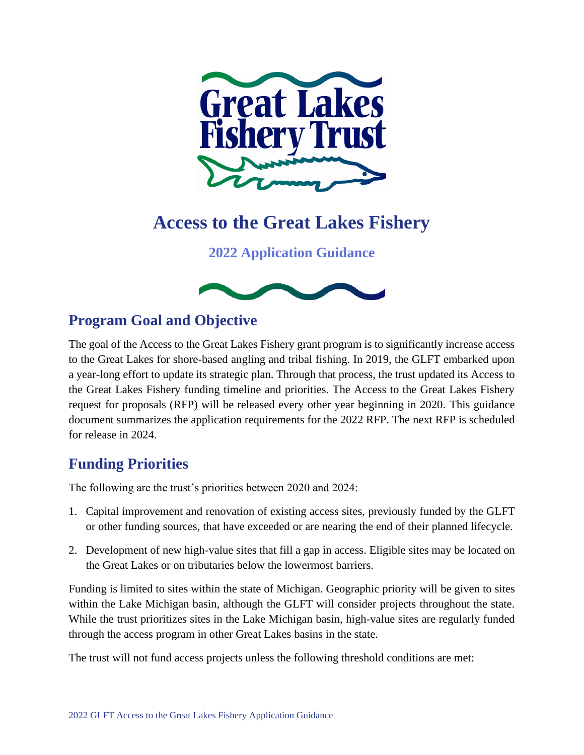

# **Access to the Great Lakes Fishery**

**2022 Application Guidance**



# **Program Goal and Objective**

The goal of the Access to the Great Lakes Fishery grant program is to significantly increase access to the Great Lakes for shore-based angling and tribal fishing. In 2019, the GLFT embarked upon a year-long effort to update its strategic plan. Through that process, the trust updated its Access to the Great Lakes Fishery funding timeline and priorities. The Access to the Great Lakes Fishery request for proposals (RFP) will be released every other year beginning in 2020. This guidance document summarizes the application requirements for the 2022 RFP. The next RFP is scheduled for release in 2024.

# **Funding Priorities**

The following are the trust's priorities between 2020 and 2024:

- 1. Capital improvement and renovation of existing access sites, previously funded by the GLFT or other funding sources, that have exceeded or are nearing the end of their planned lifecycle.
- 2. Development of new high-value sites that fill a gap in access. Eligible sites may be located on the Great Lakes or on tributaries below the lowermost barriers.

Funding is limited to sites within the state of Michigan. Geographic priority will be given to sites within the Lake Michigan basin, although the GLFT will consider projects throughout the state. While the trust prioritizes sites in the Lake Michigan basin, high-value sites are regularly funded through the access program in other Great Lakes basins in the state.

The trust will not fund access projects unless the following threshold conditions are met: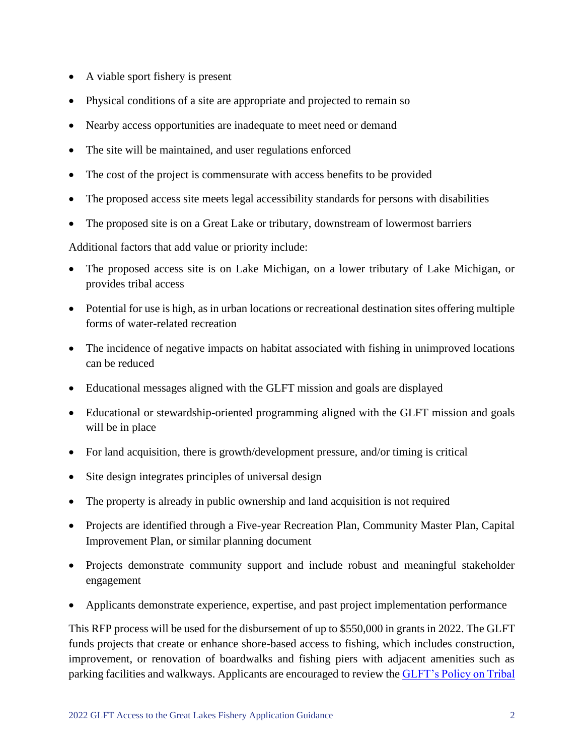- A viable sport fishery is present
- Physical conditions of a site are appropriate and projected to remain so
- Nearby access opportunities are inadequate to meet need or demand
- The site will be maintained, and user regulations enforced
- The cost of the project is commensurate with access benefits to be provided
- The proposed access site meets legal accessibility standards for persons with disabilities
- The proposed site is on a Great Lake or tributary, downstream of lowermost barriers

Additional factors that add value or priority include:

- The proposed access site is on Lake Michigan, on a lower tributary of Lake Michigan, or provides tribal access
- Potential for use is high, as in urban locations or recreational destination sites offering multiple forms of water-related recreation
- The incidence of negative impacts on habitat associated with fishing in unimproved locations can be reduced
- Educational messages aligned with the GLFT mission and goals are displayed
- Educational or stewardship-oriented programming aligned with the GLFT mission and goals will be in place
- For land acquisition, there is growth/development pressure, and/or timing is critical
- Site design integrates principles of universal design
- The property is already in public ownership and land acquisition is not required
- Projects are identified through a Five-year Recreation Plan, Community Master Plan, Capital Improvement Plan, or similar planning document
- Projects demonstrate community support and include robust and meaningful stakeholder engagement
- Applicants demonstrate experience, expertise, and past project implementation performance

This RFP process will be used for the disbursement of up to \$550,000 in grants in 2022. The GLFT funds projects that create or enhance shore-based access to fishing, which includes construction, improvement, or renovation of boardwalks and fishing piers with adjacent amenities such as parking facilities and walkways. Applicants are encouraged to review the [GLFT's Policy on Tribal](https://www.glft.org/wp-content/uploads/2021/09/access_proposals_fishing_grants_policy.pdf)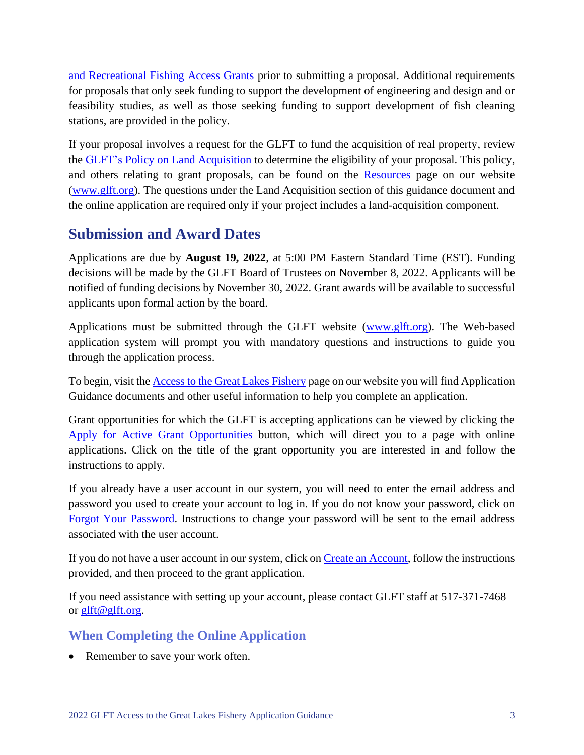[and Recreational Fishing Access Grants](https://www.glft.org/wp-content/uploads/2021/09/access_proposals_fishing_grants_policy.pdf) prior to submitting a proposal. Additional requirements for proposals that only seek funding to support the development of engineering and design and or feasibility studies, as well as those seeking funding to support development of fish cleaning stations, are provided in the policy.

If your proposal involves a request for the GLFT to fund the acquisition of real property, review the [GLFT's Policy on Land Acquisition](https://glft.org/wp-content/uploads/2021/09/land_acquisition_proposals_policy_8-3-04.pdf) to determine the eligibility of your proposal. This policy, and others relating to grant proposals, can be found on the [Resources](https://www.glft.org/resources/) page on our website [\(www.glft.org\)](http://www.glft.org/). The questions under the Land Acquisition section of this guidance document and the online application are required only if your project includes a land-acquisition component.

# **Submission and Award Dates**

Applications are due by **August 19, 2022**, at 5:00 PM Eastern Standard Time (EST). Funding decisions will be made by the GLFT Board of Trustees on November 8, 2022. Applicants will be notified of funding decisions by November 30, 2022. Grant awards will be available to successful applicants upon formal action by the board.

Applications must be submitted through the GLFT website [\(www.glft.org\)](http://www.glft.org/). The Web-based application system will prompt you with mandatory questions and instructions to guide you through the application process.

To begin, visit the [Access to the Great Lakes Fishery](https://www.glft.org/access-to-the-great-lakes-fishery/) page on our website you will find Application Guidance documents and other useful information to help you complete an application.

Grant opportunities for which the GLFT is accepting applications can be viewed by clicking the [Apply for Active Grant Opportunities](https://portal.glft.org/opportunities) button, which will direct you to a page with online applications. Click on the title of the grant opportunity you are interested in and follow the instructions to apply.

If you already have a user account in our system, you will need to enter the email address and password you used to create your account to log in. If you do not know your password, click on [Forgot Your Password.](https://portal.glft.org/users/password/new) Instructions to change your password will be sent to the email address associated with the user account.

If you do not have a user account in our system, click on [Create an Account,](https://portal.glft.org/users/sign_up) follow the instructions provided, and then proceed to the grant application.

If you need assistance with setting up your account, please contact GLFT staff at 517-371-7468 or [glft@glft.org.](mailto:glft@glft.org)

## **When Completing the Online Application**

• Remember to save your work often.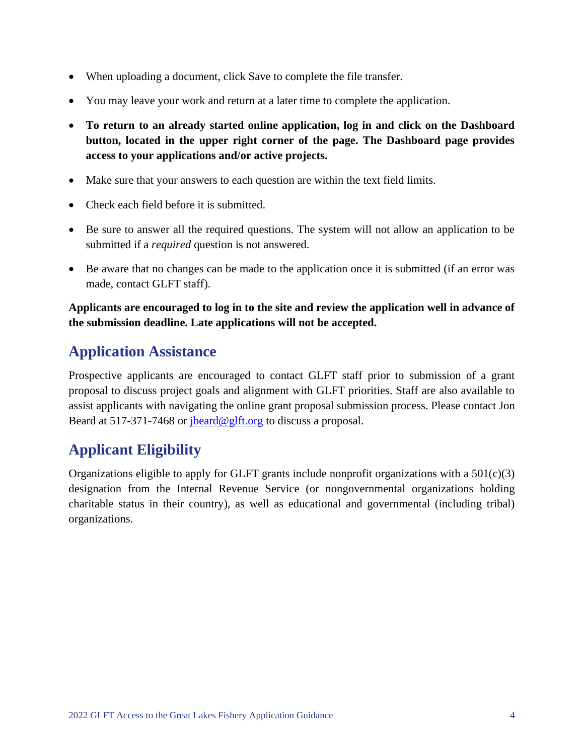- When uploading a document, click Save to complete the file transfer.
- You may leave your work and return at a later time to complete the application.
- **To return to an already started online application, log in and click on the Dashboard button, located in the upper right corner of the page. The Dashboard page provides access to your applications and/or active projects.**
- Make sure that your answers to each question are within the text field limits.
- Check each field before it is submitted.
- Be sure to answer all the required questions. The system will not allow an application to be submitted if a *required* question is not answered.
- Be aware that no changes can be made to the application once it is submitted (if an error was made, contact GLFT staff).

#### **Applicants are encouraged to log in to the site and review the application well in advance of the submission deadline. Late applications will not be accepted.**

## **Application Assistance**

Prospective applicants are encouraged to contact GLFT staff prior to submission of a grant proposal to discuss project goals and alignment with GLFT priorities. Staff are also available to assist applicants with navigating the online grant proposal submission process. Please contact Jon Beard at 517-371-7468 or [jbeard@glft.org](mailto:jbeard@glft.org) to discuss a proposal.

# **Applicant Eligibility**

Organizations eligible to apply for GLFT grants include nonprofit organizations with a 501(c)(3) designation from the Internal Revenue Service (or nongovernmental organizations holding charitable status in their country), as well as educational and governmental (including tribal) organizations.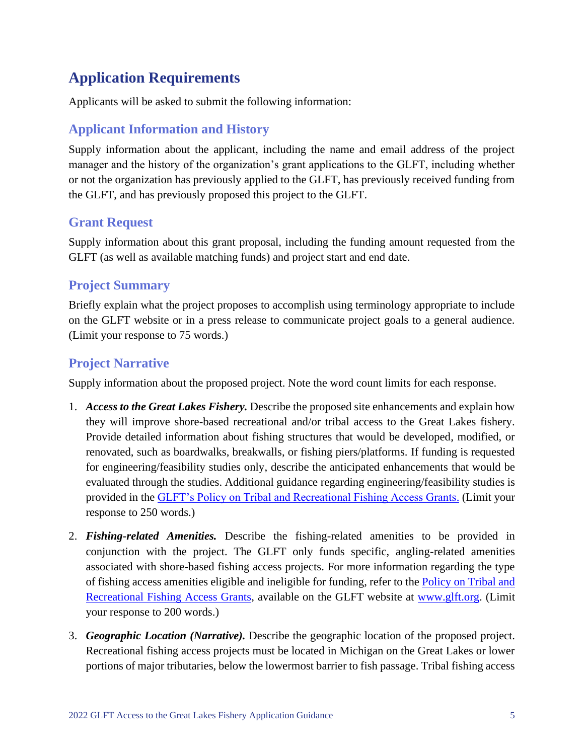# **Application Requirements**

Applicants will be asked to submit the following information:

## **Applicant Information and History**

Supply information about the applicant, including the name and email address of the project manager and the history of the organization's grant applications to the GLFT, including whether or not the organization has previously applied to the GLFT, has previously received funding from the GLFT, and has previously proposed this project to the GLFT.

### **Grant Request**

Supply information about this grant proposal, including the funding amount requested from the GLFT (as well as available matching funds) and project start and end date.

#### **Project Summary**

Briefly explain what the project proposes to accomplish using terminology appropriate to include on the GLFT website or in a press release to communicate project goals to a general audience. (Limit your response to 75 words.)

## **Project Narrative**

Supply information about the proposed project. Note the word count limits for each response.

- 1. *Access to the Great Lakes Fishery.* Describe the proposed site enhancements and explain how they will improve shore-based recreational and/or tribal access to the Great Lakes fishery. Provide detailed information about fishing structures that would be developed, modified, or renovated, such as boardwalks, breakwalls, or fishing piers/platforms. If funding is requested for engineering/feasibility studies only, describe the anticipated enhancements that would be evaluated through the studies. Additional guidance regarding engineering/feasibility studies is provided in the [GLFT's Policy on Tribal and Recreational Fishing Access Grants.](https://www.glft.org/wp-content/uploads/2021/09/access_proposals_fishing_grants_policy.pdf) (Limit your response to 250 words.)
- 2. *Fishing-related Amenities.* Describe the fishing-related amenities to be provided in conjunction with the project. The GLFT only funds specific, angling-related amenities associated with shore-based fishing access projects. For more information regarding the type of fishing access amenities eligible and ineligible for funding, refer to the **Policy on Tribal and** [Recreational Fishing Access Grants,](https://www.glft.org/wp-content/uploads/2021/09/access_proposals_fishing_grants_policy.pdf) available on the GLFT website at [www.glft.org.](http://www.glft.org/) (Limit your response to 200 words.)
- 3. *Geographic Location (Narrative).* Describe the geographic location of the proposed project. Recreational fishing access projects must be located in Michigan on the Great Lakes or lower portions of major tributaries, below the lowermost barrier to fish passage. Tribal fishing access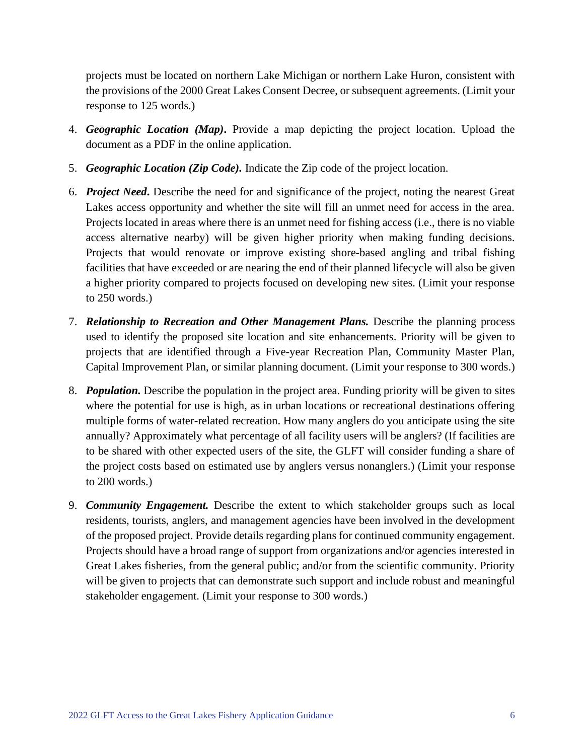projects must be located on northern Lake Michigan or northern Lake Huron, consistent with the provisions of the 2000 Great Lakes Consent Decree, or subsequent agreements. (Limit your response to 125 words.)

- 4. *Geographic Location (Map)***.** Provide a map depicting the project location. Upload the document as a PDF in the online application.
- 5. *Geographic Location (Zip Code).* Indicate the Zip code of the project location.
- 6. *Project Need***.** Describe the need for and significance of the project, noting the nearest Great Lakes access opportunity and whether the site will fill an unmet need for access in the area. Projects located in areas where there is an unmet need for fishing access (i.e., there is no viable access alternative nearby) will be given higher priority when making funding decisions. Projects that would renovate or improve existing shore-based angling and tribal fishing facilities that have exceeded or are nearing the end of their planned lifecycle will also be given a higher priority compared to projects focused on developing new sites. (Limit your response to 250 words.)
- 7. *Relationship to Recreation and Other Management Plans.* Describe the planning process used to identify the proposed site location and site enhancements. Priority will be given to projects that are identified through a Five-year Recreation Plan, Community Master Plan, Capital Improvement Plan, or similar planning document. (Limit your response to 300 words.)
- 8. *Population.* Describe the population in the project area. Funding priority will be given to sites where the potential for use is high, as in urban locations or recreational destinations offering multiple forms of water-related recreation. How many anglers do you anticipate using the site annually? Approximately what percentage of all facility users will be anglers? (If facilities are to be shared with other expected users of the site, the GLFT will consider funding a share of the project costs based on estimated use by anglers versus nonanglers.) (Limit your response to 200 words.)
- 9. *Community Engagement.* Describe the extent to which stakeholder groups such as local residents, tourists, anglers, and management agencies have been involved in the development of the proposed project. Provide details regarding plans for continued community engagement. Projects should have a broad range of support from organizations and/or agencies interested in Great Lakes fisheries, from the general public; and/or from the scientific community. Priority will be given to projects that can demonstrate such support and include robust and meaningful stakeholder engagement. (Limit your response to 300 words.)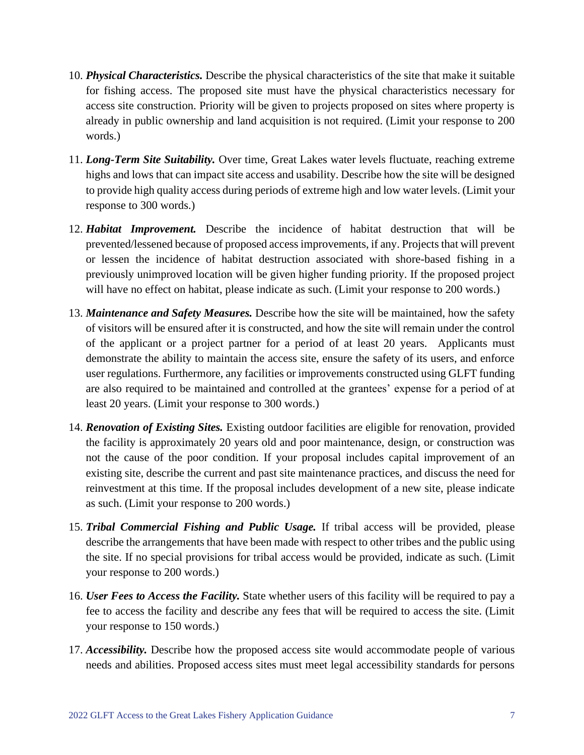- 10. *Physical Characteristics.* Describe the physical characteristics of the site that make it suitable for fishing access. The proposed site must have the physical characteristics necessary for access site construction. Priority will be given to projects proposed on sites where property is already in public ownership and land acquisition is not required. (Limit your response to 200 words.)
- 11. *Long-Term Site Suitability.* Over time, Great Lakes water levels fluctuate, reaching extreme highs and lows that can impact site access and usability. Describe how the site will be designed to provide high quality access during periods of extreme high and low water levels. (Limit your response to 300 words.)
- 12. *Habitat Improvement.* Describe the incidence of habitat destruction that will be prevented/lessened because of proposed access improvements, if any. Projects that will prevent or lessen the incidence of habitat destruction associated with shore-based fishing in a previously unimproved location will be given higher funding priority. If the proposed project will have no effect on habitat, please indicate as such. (Limit your response to 200 words.)
- 13. *Maintenance and Safety Measures.* Describe how the site will be maintained, how the safety of visitors will be ensured after it is constructed, and how the site will remain under the control of the applicant or a project partner for a period of at least 20 years. Applicants must demonstrate the ability to maintain the access site, ensure the safety of its users, and enforce user regulations. Furthermore, any facilities or improvements constructed using GLFT funding are also required to be maintained and controlled at the grantees' expense for a period of at least 20 years. (Limit your response to 300 words.)
- 14. *Renovation of Existing Sites.* Existing outdoor facilities are eligible for renovation, provided the facility is approximately 20 years old and poor maintenance, design, or construction was not the cause of the poor condition. If your proposal includes capital improvement of an existing site, describe the current and past site maintenance practices, and discuss the need for reinvestment at this time. If the proposal includes development of a new site, please indicate as such. (Limit your response to 200 words.)
- 15. *Tribal Commercial Fishing and Public Usage.* If tribal access will be provided, please describe the arrangements that have been made with respect to other tribes and the public using the site. If no special provisions for tribal access would be provided, indicate as such. (Limit your response to 200 words.)
- 16. *User Fees to Access the Facility.* State whether users of this facility will be required to pay a fee to access the facility and describe any fees that will be required to access the site. (Limit your response to 150 words.)
- 17. *Accessibility.* Describe how the proposed access site would accommodate people of various needs and abilities. Proposed access sites must meet legal accessibility standards for persons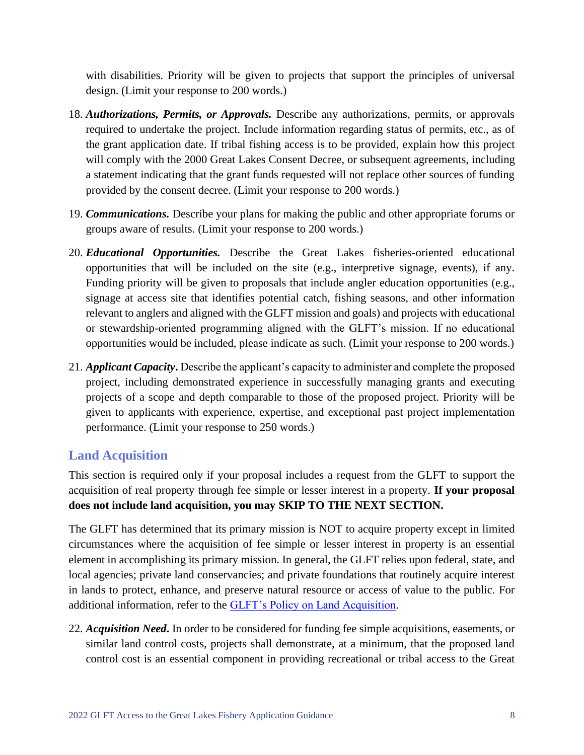with disabilities. Priority will be given to projects that support the principles of universal design. (Limit your response to 200 words.)

- 18. *Authorizations, Permits, or Approvals.* Describe any authorizations, permits, or approvals required to undertake the project. Include information regarding status of permits, etc., as of the grant application date. If tribal fishing access is to be provided, explain how this project will comply with the 2000 Great Lakes Consent Decree, or subsequent agreements, including a statement indicating that the grant funds requested will not replace other sources of funding provided by the consent decree. (Limit your response to 200 words.)
- 19. *Communications.* Describe your plans for making the public and other appropriate forums or groups aware of results. (Limit your response to 200 words.)
- 20. *Educational Opportunities.* Describe the Great Lakes fisheries-oriented educational opportunities that will be included on the site (e.g., interpretive signage, events), if any. Funding priority will be given to proposals that include angler education opportunities (e.g., signage at access site that identifies potential catch, fishing seasons, and other information relevant to anglers and aligned with the GLFT mission and goals) and projects with educational or stewardship-oriented programming aligned with the GLFT's mission. If no educational opportunities would be included, please indicate as such. (Limit your response to 200 words.)
- 21. *Applicant Capacity***.** Describe the applicant's capacity to administer and complete the proposed project, including demonstrated experience in successfully managing grants and executing projects of a scope and depth comparable to those of the proposed project. Priority will be given to applicants with experience, expertise, and exceptional past project implementation performance. (Limit your response to 250 words.)

### **Land Acquisition**

This section is required only if your proposal includes a request from the GLFT to support the acquisition of real property through fee simple or lesser interest in a property. **If your proposal does not include land acquisition, you may SKIP TO THE NEXT SECTION.**

The GLFT has determined that its primary mission is NOT to acquire property except in limited circumstances where the acquisition of fee simple or lesser interest in property is an essential element in accomplishing its primary mission. In general, the GLFT relies upon federal, state, and local agencies; private land conservancies; and private foundations that routinely acquire interest in lands to protect, enhance, and preserve natural resource or access of value to the public. For additional information, refer to the [GLFT's Policy on Land Acquisition.](https://glft.org/wp-content/uploads/2021/09/land_acquisition_proposals_policy_8-3-04.pdf)

22. *Acquisition Need***.** In order to be considered for funding fee simple acquisitions, easements, or similar land control costs, projects shall demonstrate, at a minimum, that the proposed land control cost is an essential component in providing recreational or tribal access to the Great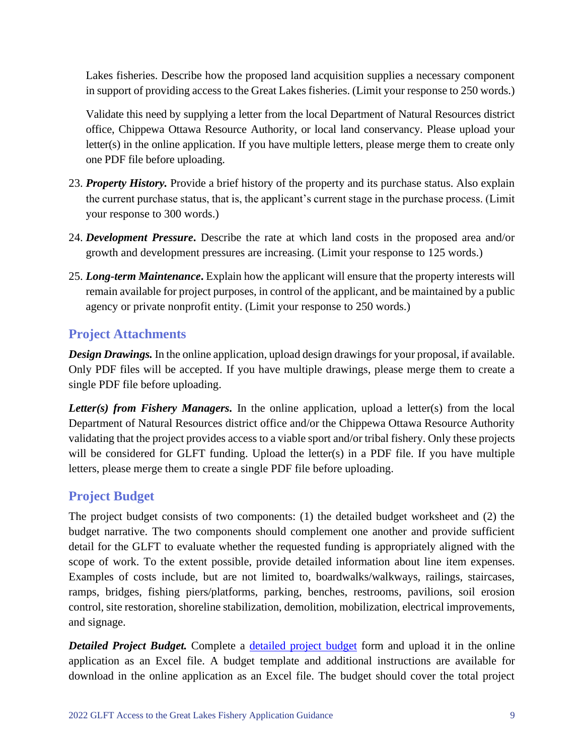Lakes fisheries. Describe how the proposed land acquisition supplies a necessary component in support of providing access to the Great Lakes fisheries. (Limit your response to 250 words.)

Validate this need by supplying a letter from the local Department of Natural Resources district office, Chippewa Ottawa Resource Authority, or local land conservancy. Please upload your letter(s) in the online application. If you have multiple letters, please merge them to create only one PDF file before uploading.

- 23. *Property History.* Provide a brief history of the property and its purchase status. Also explain the current purchase status, that is, the applicant's current stage in the purchase process. (Limit your response to 300 words.)
- 24. *Development Pressure***.** Describe the rate at which land costs in the proposed area and/or growth and development pressures are increasing. (Limit your response to 125 words.)
- 25. *Long-term Maintenance***.** Explain how the applicant will ensure that the property interests will remain available for project purposes, in control of the applicant, and be maintained by a public agency or private nonprofit entity. (Limit your response to 250 words.)

## **Project Attachments**

*Design Drawings.* In the online application, upload design drawings for your proposal, if available. Only PDF files will be accepted. If you have multiple drawings, please merge them to create a single PDF file before uploading.

*Letter(s) from Fishery Managers.* In the online application, upload a letter(s) from the local Department of Natural Resources district office and/or the Chippewa Ottawa Resource Authority validating that the project provides access to a viable sport and/or tribal fishery. Only these projects will be considered for GLFT funding. Upload the letter(s) in a PDF file. If you have multiple letters, please merge them to create a single PDF file before uploading.

### **Project Budget**

The project budget consists of two components: (1) the detailed budget worksheet and (2) the budget narrative. The two components should complement one another and provide sufficient detail for the GLFT to evaluate whether the requested funding is appropriately aligned with the scope of work. To the extent possible, provide detailed information about line item expenses. Examples of costs include, but are not limited to, boardwalks/walkways, railings, staircases, ramps, bridges, fishing piers/platforms, parking, benches, restrooms, pavilions, soil erosion control, site restoration, shoreline stabilization, demolition, mobilization, electrical improvements, and signage.

*Detailed Project Budget.* Complete a [detailed project budget](https://www.glft.org/wp-content/uploads/2021/09/detailed_budget_worksheet.xlsx) form and upload it in the online application as an Excel file. A budget template and additional instructions are available for download in the online application as an Excel file. The budget should cover the total project